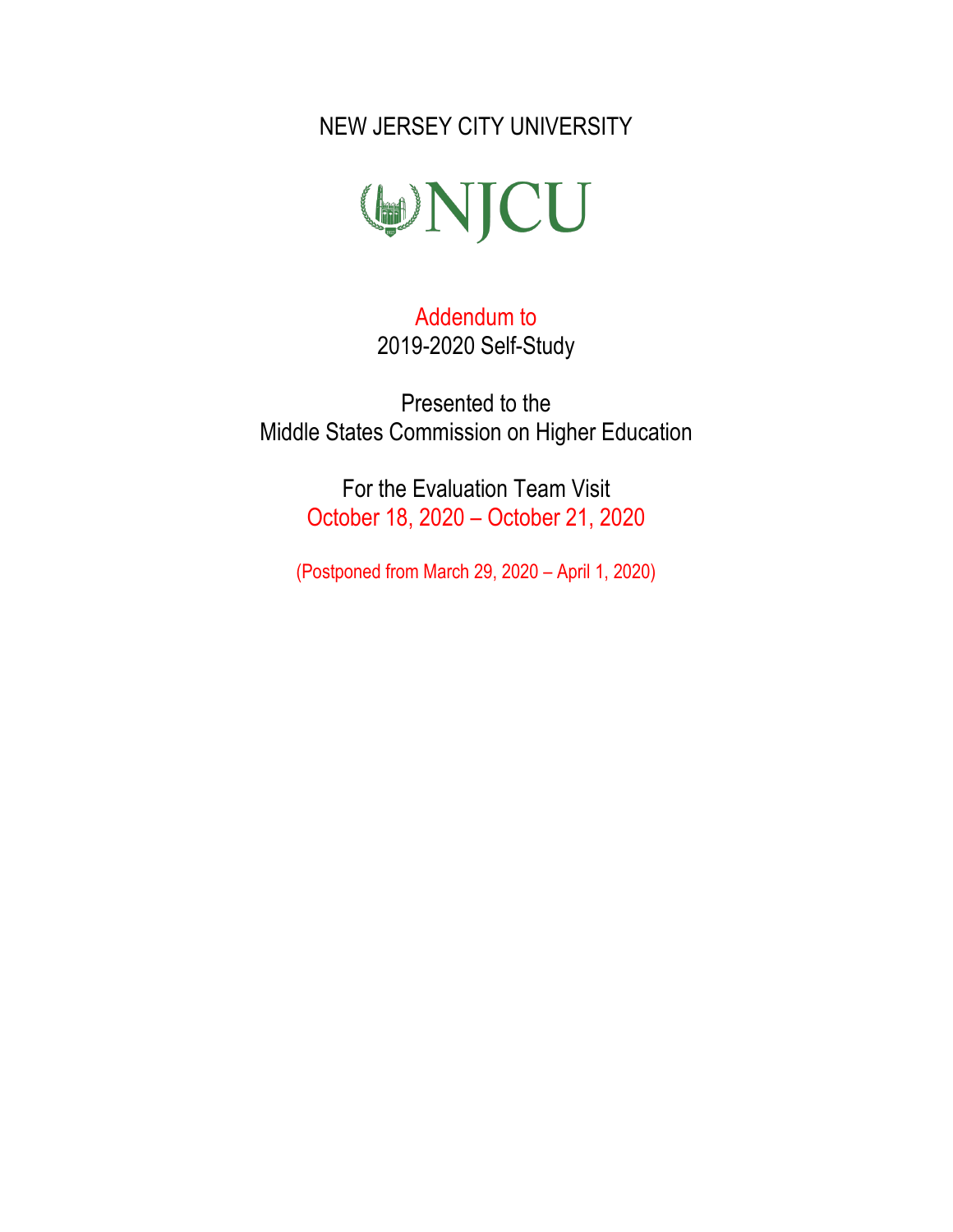NEW JERSEY CITY UNIVERSITY



Addendum to 2019-2020 Self-Study

Presented to the Middle States Commission on Higher Education

> For the Evaluation Team Visit October 18, 2020 – October 21, 2020

(Postponed from March 29, 2020 – April 1, 2020)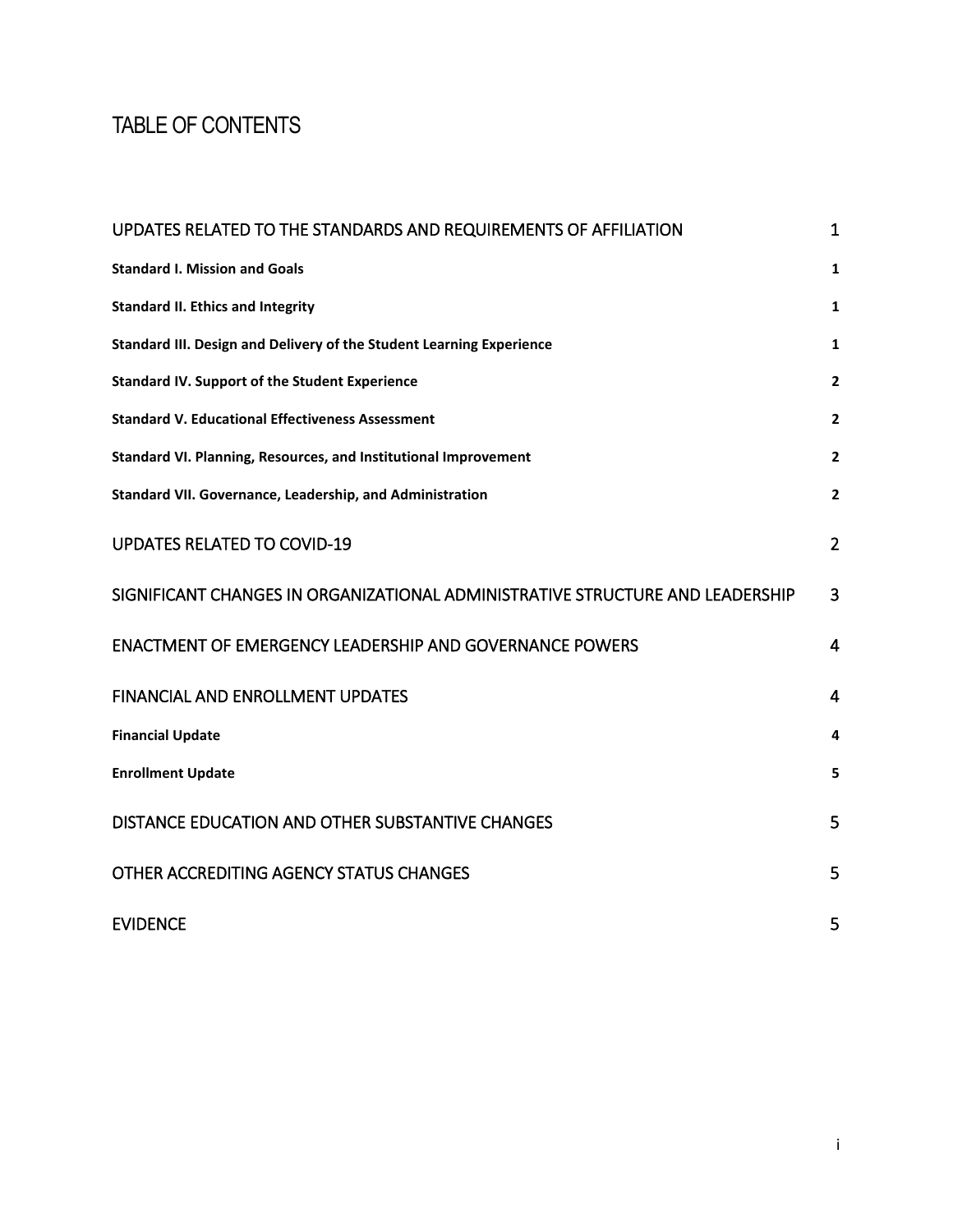# <span id="page-1-0"></span>TABLE OF CONTENTS

| UPDATES RELATED TO THE STANDARDS AND REQUIREMENTS OF AFFILIATION              | 1              |
|-------------------------------------------------------------------------------|----------------|
| <b>Standard I. Mission and Goals</b>                                          | $\mathbf{1}$   |
| <b>Standard II. Ethics and Integrity</b>                                      | 1              |
| Standard III. Design and Delivery of the Student Learning Experience          | $\mathbf{1}$   |
| <b>Standard IV. Support of the Student Experience</b>                         | $\mathbf{2}$   |
| <b>Standard V. Educational Effectiveness Assessment</b>                       | $\mathbf{2}$   |
| Standard VI. Planning, Resources, and Institutional Improvement               | $\mathbf{2}$   |
| Standard VII. Governance, Leadership, and Administration                      | $\overline{2}$ |
| <b>UPDATES RELATED TO COVID-19</b>                                            | $\overline{2}$ |
| SIGNIFICANT CHANGES IN ORGANIZATIONAL ADMINISTRATIVE STRUCTURE AND LEADERSHIP | 3              |
| <b>ENACTMENT OF EMERGENCY LEADERSHIP AND GOVERNANCE POWERS</b>                | $\overline{4}$ |
| <b>FINANCIAL AND ENROLLMENT UPDATES</b>                                       | $\overline{4}$ |
| <b>Financial Update</b>                                                       | 4              |
| <b>Enrollment Update</b>                                                      | 5              |
| DISTANCE EDUCATION AND OTHER SUBSTANTIVE CHANGES                              | 5              |
| OTHER ACCREDITING AGENCY STATUS CHANGES                                       | 5              |
| <b>EVIDENCE</b>                                                               | 5              |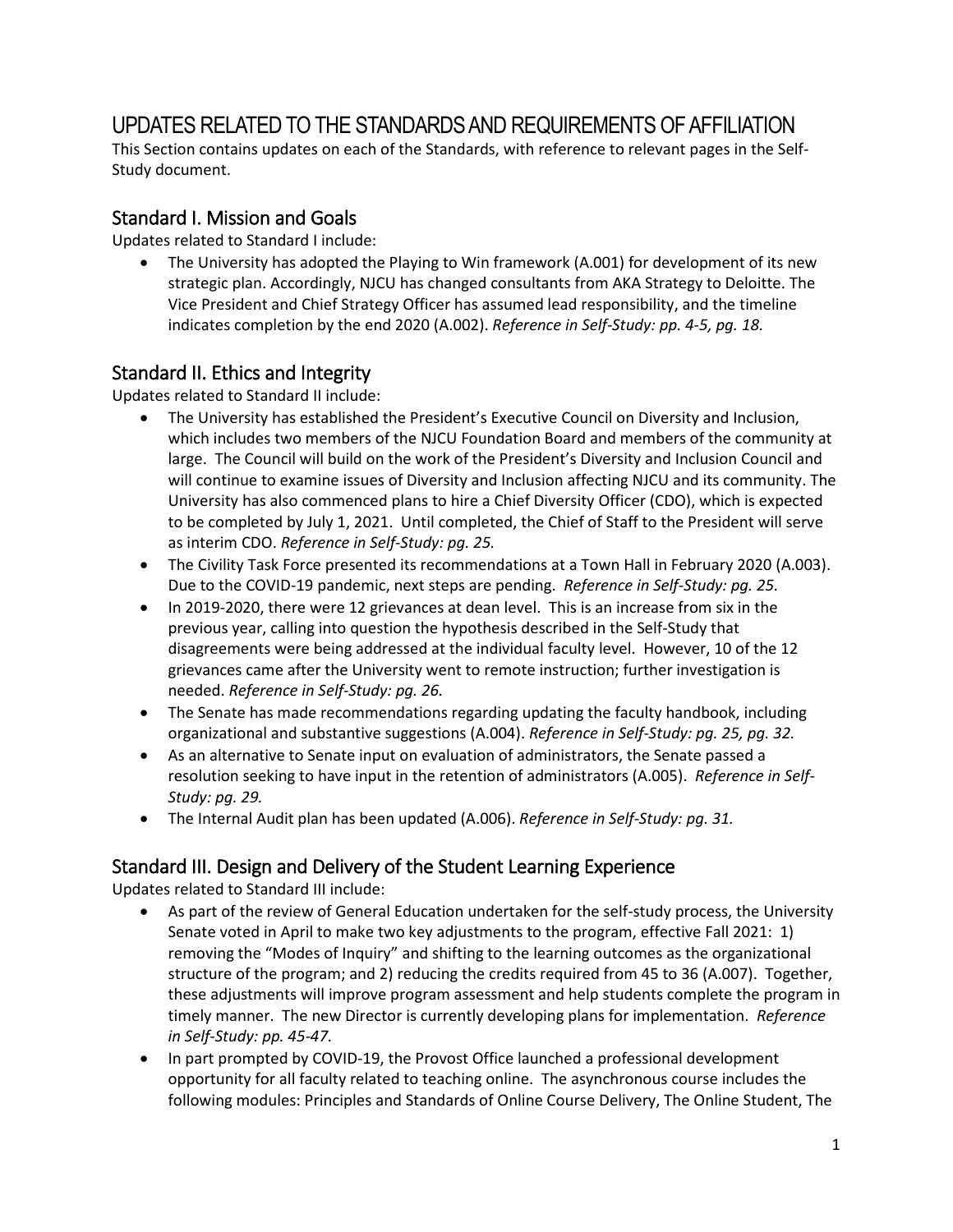## <span id="page-2-0"></span>UPDATES RELATED TO THE STANDARDS AND REQUIREMENTS OF AFFILIATION

This Section contains updates on each of the Standards, with reference to relevant pages in the Self-Study document.

#### <span id="page-2-1"></span>Standard I. Mission and Goals

Updates related to Standard I include:

• The University has adopted the Playing to Win framework (A.001) for development of its new strategic plan. Accordingly, NJCU has changed consultants from AKA Strategy to Deloitte. The Vice President and Chief Strategy Officer has assumed lead responsibility, and the timeline indicates completion by the end 2020 (A.002). *Reference in Self-Study: pp. 4-5, pg. 18.*

### <span id="page-2-2"></span>Standard II. Ethics and Integrity

Updates related to Standard II include:

- The University has established the President's Executive Council on Diversity and Inclusion, which includes two members of the NJCU Foundation Board and members of the community at large. The Council will build on the work of the President's Diversity and Inclusion Council and will continue to examine issues of Diversity and Inclusion affecting NJCU and its community. The University has also commenced plans to hire a Chief Diversity Officer (CDO), which is expected to be completed by July 1, 2021. Until completed, the Chief of Staff to the President will serve as interim CDO. *Reference in Self-Study: pg. 25.*
- The Civility Task Force presented its recommendations at a Town Hall in February 2020 (A.003). Due to the COVID-19 pandemic, next steps are pending. *Reference in Self-Study: pg. 25.*
- In 2019-2020, there were 12 grievances at dean level. This is an increase from six in the previous year, calling into question the hypothesis described in the Self-Study that disagreements were being addressed at the individual faculty level. However, 10 of the 12 grievances came after the University went to remote instruction; further investigation is needed. *Reference in Self-Study: pg. 26.*
- The Senate has made recommendations regarding updating the faculty handbook, including organizational and substantive suggestions (A.004). *Reference in Self-Study: pg. 25, pg. 32.*
- As an alternative to Senate input on evaluation of administrators, the Senate passed a resolution seeking to have input in the retention of administrators (A.005). *Reference in Self-Study: pg. 29.*
- The Internal Audit plan has been updated (A.006). *Reference in Self-Study: pg. 31.*

### <span id="page-2-3"></span>Standard III. Design and Delivery of the Student Learning Experience

Updates related to Standard III include:

- As part of the review of General Education undertaken for the self-study process, the University Senate voted in April to make two key adjustments to the program, effective Fall 2021: 1) removing the "Modes of Inquiry" and shifting to the learning outcomes as the organizational structure of the program; and 2) reducing the credits required from 45 to 36 (A.007). Together, these adjustments will improve program assessment and help students complete the program in timely manner. The new Director is currently developing plans for implementation. *Reference in Self-Study: pp. 45-47.*
- In part prompted by COVID-19, the Provost Office launched a professional development opportunity for all faculty related to teaching online. The asynchronous course includes the following modules: Principles and Standards of Online Course Delivery, The Online Student, The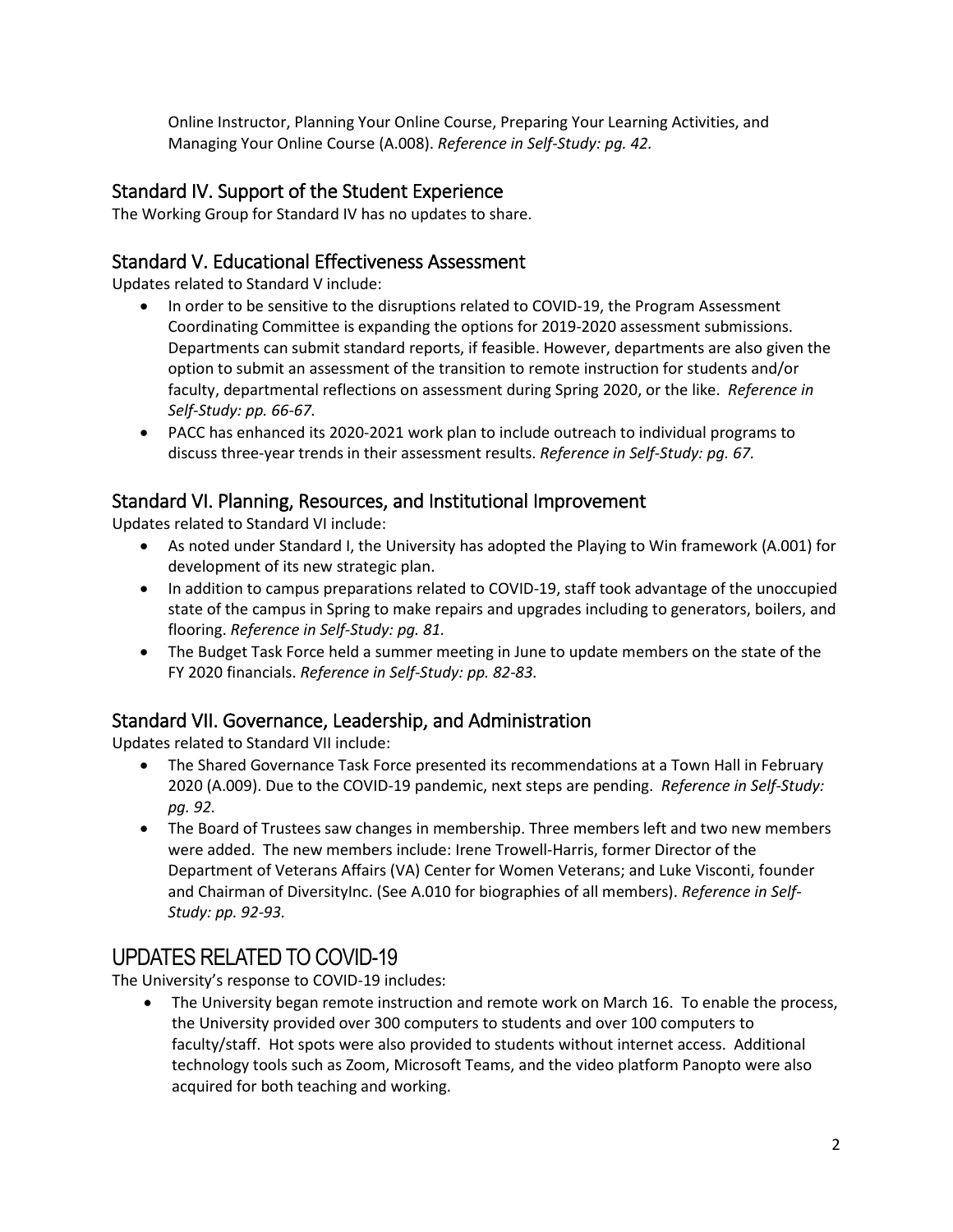Online Instructor, Planning Your Online Course, Preparing Your Learning Activities, and Managing Your Online Course (A.008). *Reference in Self-Study: pg. 42.*

### <span id="page-3-0"></span>Standard IV. Support of the Student Experience

The Working Group for Standard IV has no updates to share.

#### <span id="page-3-1"></span>Standard V. Educational Effectiveness Assessment

Updates related to Standard V include:

- In order to be sensitive to the disruptions related to COVID-19, the Program Assessment Coordinating Committee is expanding the options for 2019-2020 assessment submissions. Departments can submit standard reports, if feasible. However, departments are also given the option to submit an assessment of the transition to remote instruction for students and/or faculty, departmental reflections on assessment during Spring 2020, or the like. *Reference in Self-Study: pp. 66-67.*
- PACC has enhanced its 2020-2021 work plan to include outreach to individual programs to discuss three-year trends in their assessment results. *Reference in Self-Study: pg. 67.*

#### <span id="page-3-2"></span>Standard VI. Planning, Resources, and Institutional Improvement

Updates related to Standard VI include:

- As noted under Standard I, the University has adopted the Playing to Win framework (A.001) for development of its new strategic plan.
- In addition to campus preparations related to COVID-19, staff took advantage of the unoccupied state of the campus in Spring to make repairs and upgrades including to generators, boilers, and flooring. *Reference in Self-Study: pg. 81.*
- The Budget Task Force held a summer meeting in June to update members on the state of the FY 2020 financials. *Reference in Self-Study: pp. 82-83.*

#### <span id="page-3-3"></span>Standard VII. Governance, Leadership, and Administration

Updates related to Standard VII include:

- The Shared Governance Task Force presented its recommendations at a Town Hall in February 2020 (A.009). Due to the COVID-19 pandemic, next steps are pending. *Reference in Self-Study: pg. 92.*
- The Board of Trustees saw changes in membership. Three members left and two new members were added. The new members include: Irene Trowell-Harris, former Director of the Department of Veterans Affairs (VA) Center for Women Veterans; and Luke Visconti, founder and Chairman of DiversityInc. (See A.010 for biographies of all members). *Reference in Self-Study: pp. 92-93.*

### <span id="page-3-4"></span>UPDATES RELATED TO COVID-19

The University's response to COVID-19 includes:

• The University began remote instruction and remote work on March 16. To enable the process, the University provided over 300 computers to students and over 100 computers to faculty/staff. Hot spots were also provided to students without internet access. Additional technology tools such as Zoom, Microsoft Teams, and the video platform Panopto were also acquired for both teaching and working.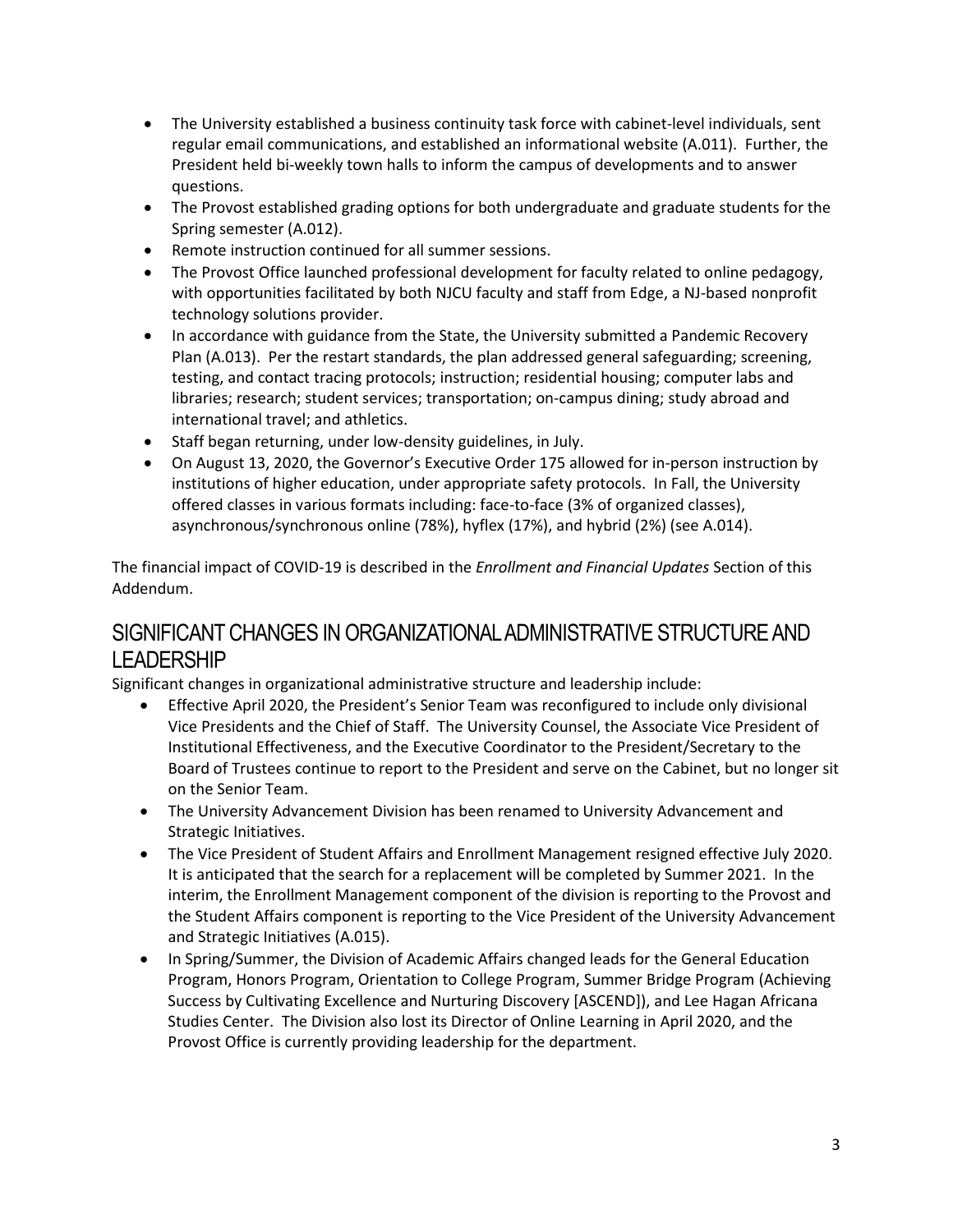- The University established a business continuity task force with cabinet-level individuals, sent regular email communications, and established an informational website (A.011). Further, the President held bi-weekly town halls to inform the campus of developments and to answer questions.
- The Provost established grading options for both undergraduate and graduate students for the Spring semester (A.012).
- Remote instruction continued for all summer sessions.
- The Provost Office launched professional development for faculty related to online pedagogy, with opportunities facilitated by both NJCU faculty and staff from Edge, a NJ-based nonprofit technology solutions provider.
- In accordance with guidance from the State, the University submitted a Pandemic Recovery Plan (A.013). Per the restart standards, the plan addressed general safeguarding; screening, testing, and contact tracing protocols; instruction; residential housing; computer labs and libraries; research; student services; transportation; on-campus dining; study abroad and international travel; and athletics.
- Staff began returning, under low-density guidelines, in July.
- On August 13, 2020, the Governor's Executive Order 175 allowed for in-person instruction by institutions of higher education, under appropriate safety protocols. In Fall, the University offered classes in various formats including: face-to-face (3% of organized classes), asynchronous/synchronous online (78%), hyflex (17%), and hybrid (2%) (see A.014).

The financial impact of COVID-19 is described in the *Enrollment and Financial Updates* Section of this Addendum.

### <span id="page-4-0"></span>SIGNIFICANT CHANGES IN ORGANIZATIONAL ADMINISTRATIVE STRUCTURE AND LEADERSHIP

Significant changes in organizational administrative structure and leadership include:

- Effective April 2020, the President's Senior Team was reconfigured to include only divisional Vice Presidents and the Chief of Staff. The University Counsel, the Associate Vice President of Institutional Effectiveness, and the Executive Coordinator to the President/Secretary to the Board of Trustees continue to report to the President and serve on the Cabinet, but no longer sit on the Senior Team.
- The University Advancement Division has been renamed to University Advancement and Strategic Initiatives.
- The Vice President of Student Affairs and Enrollment Management resigned effective July 2020. It is anticipated that the search for a replacement will be completed by Summer 2021. In the interim, the Enrollment Management component of the division is reporting to the Provost and the Student Affairs component is reporting to the Vice President of the University Advancement and Strategic Initiatives (A.015).
- In Spring/Summer, the Division of Academic Affairs changed leads for the General Education Program, Honors Program, Orientation to College Program, Summer Bridge Program (Achieving Success by Cultivating Excellence and Nurturing Discovery [ASCEND]), and Lee Hagan Africana Studies Center. The Division also lost its Director of Online Learning in April 2020, and the Provost Office is currently providing leadership for the department.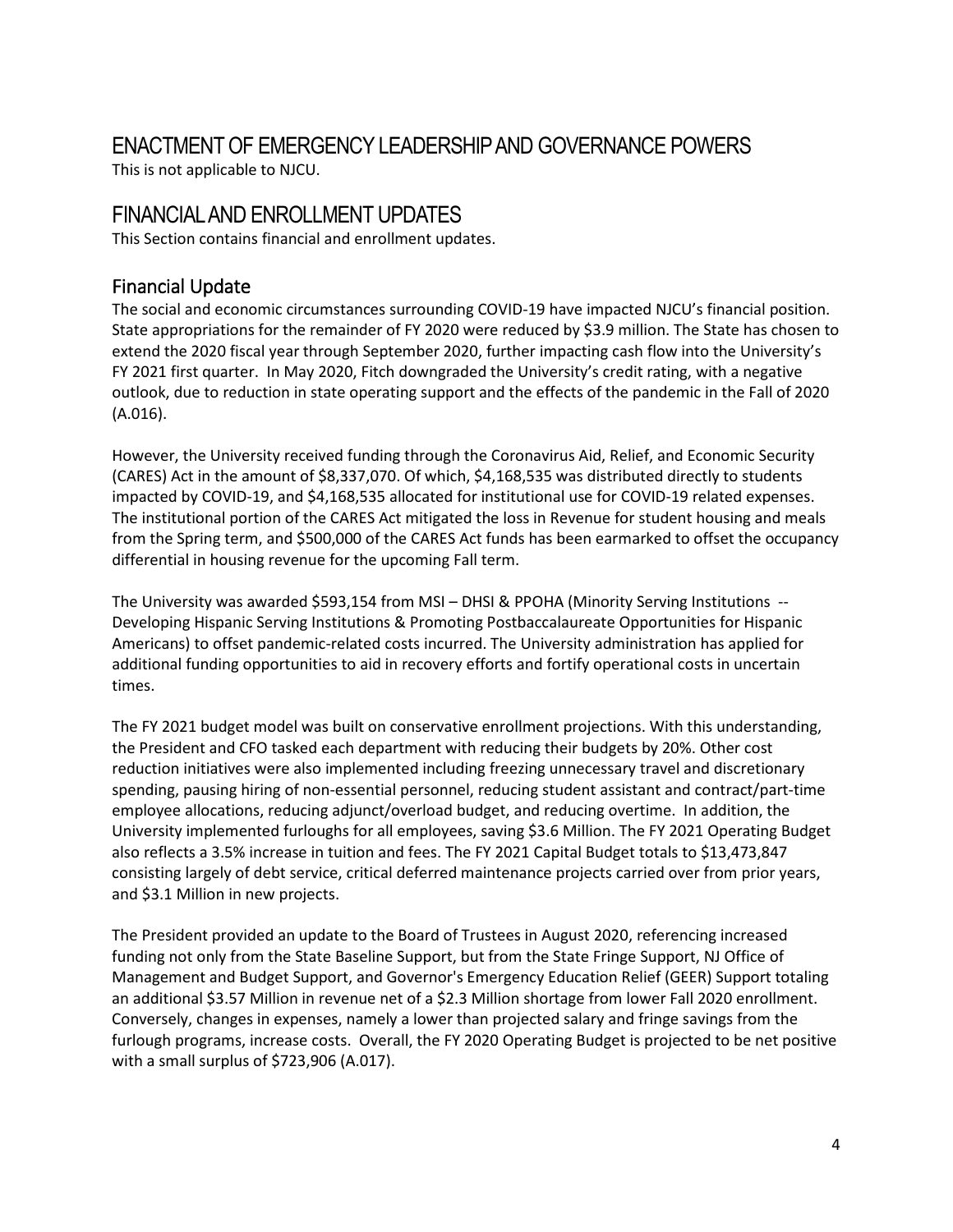## <span id="page-5-0"></span>ENACTMENT OF EMERGENCY LEADERSHIP AND GOVERNANCE POWERS

This is not applicable to NJCU.

## <span id="page-5-1"></span>FINANCIAL AND ENROLLMENT UPDATES

This Section contains financial and enrollment updates.

#### <span id="page-5-2"></span>Financial Update

The social and economic circumstances surrounding COVID-19 have impacted NJCU's financial position. State appropriations for the remainder of FY 2020 were reduced by \$3.9 million. The State has chosen to extend the 2020 fiscal year through September 2020, further impacting cash flow into the University's FY 2021 first quarter. In May 2020, Fitch downgraded the University's credit rating, with a negative outlook, due to reduction in state operating support and the effects of the pandemic in the Fall of 2020 (A.016).

However, the University received funding through the Coronavirus Aid, Relief, and Economic Security (CARES) Act in the amount of \$8,337,070. Of which, \$4,168,535 was distributed directly to students impacted by COVID-19, and \$4,168,535 allocated for institutional use for COVID-19 related expenses. The institutional portion of the CARES Act mitigated the loss in Revenue for student housing and meals from the Spring term, and \$500,000 of the CARES Act funds has been earmarked to offset the occupancy differential in housing revenue for the upcoming Fall term.

The University was awarded \$593,154 from MSI – DHSI & PPOHA (Minority Serving Institutions -- Developing Hispanic Serving Institutions & Promoting Postbaccalaureate Opportunities for Hispanic Americans) to offset pandemic-related costs incurred. The University administration has applied for additional funding opportunities to aid in recovery efforts and fortify operational costs in uncertain times.

The FY 2021 budget model was built on conservative enrollment projections. With this understanding, the President and CFO tasked each department with reducing their budgets by 20%. Other cost reduction initiatives were also implemented including freezing unnecessary travel and discretionary spending, pausing hiring of non-essential personnel, reducing student assistant and contract/part-time employee allocations, reducing adjunct/overload budget, and reducing overtime. In addition, the University implemented furloughs for all employees, saving \$3.6 Million. The FY 2021 Operating Budget also reflects a 3.5% increase in tuition and fees. The FY 2021 Capital Budget totals to \$13,473,847 consisting largely of debt service, critical deferred maintenance projects carried over from prior years, and \$3.1 Million in new projects.

The President provided an update to the Board of Trustees in August 2020, referencing increased funding not only from the State Baseline Support, but from the State Fringe Support, NJ Office of Management and Budget Support, and Governor's Emergency Education Relief (GEER) Support totaling an additional \$3.57 Million in revenue net of a \$2.3 Million shortage from lower Fall 2020 enrollment. Conversely, changes in expenses, namely a lower than projected salary and fringe savings from the furlough programs, increase costs. Overall, the FY 2020 Operating Budget is projected to be net positive with a small surplus of \$723,906 (A.017).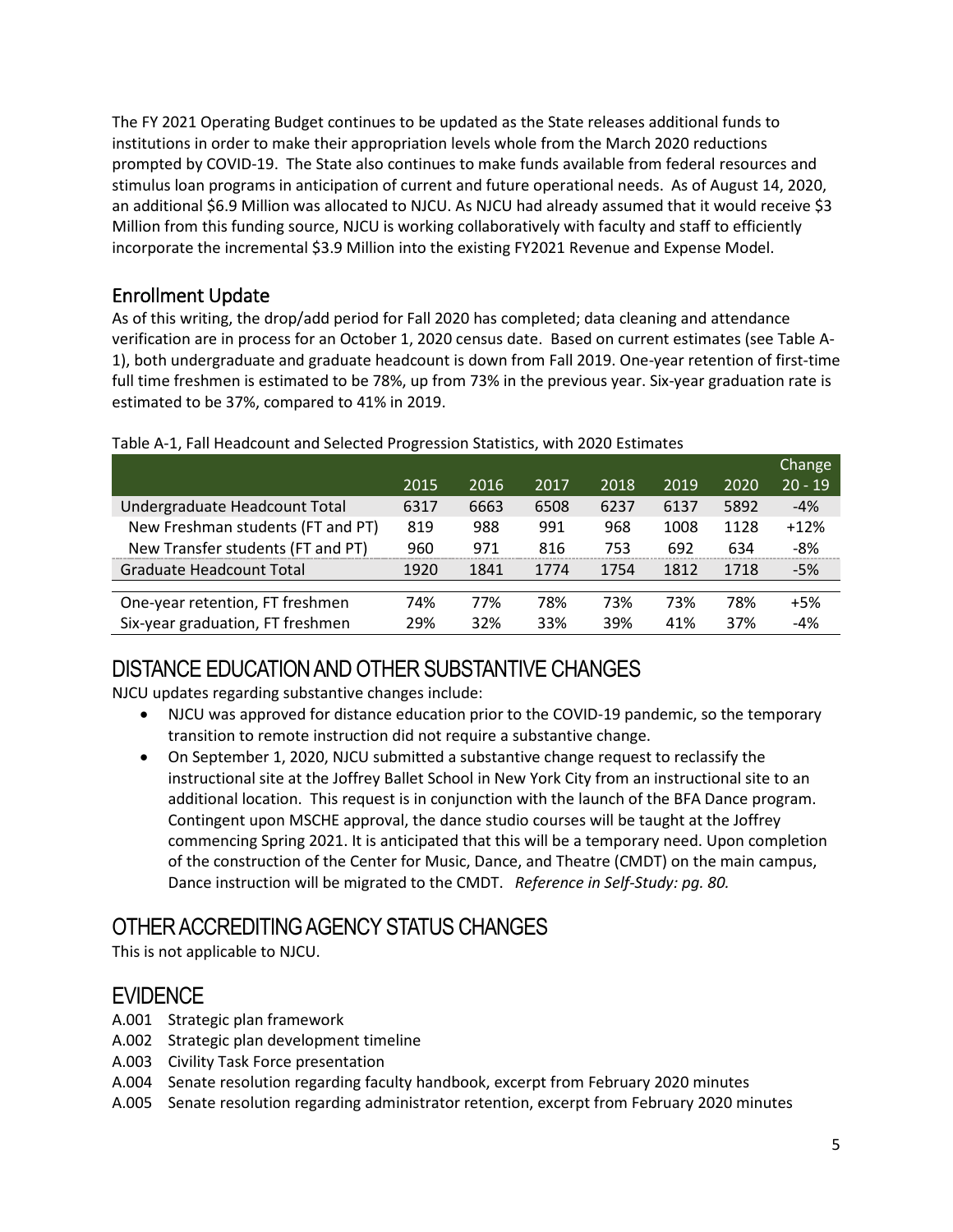The FY 2021 Operating Budget continues to be updated as the State releases additional funds to institutions in order to make their appropriation levels whole from the March 2020 reductions prompted by COVID-19. The State also continues to make funds available from federal resources and stimulus loan programs in anticipation of current and future operational needs. As of August 14, 2020, an additional \$6.9 Million was allocated to NJCU. As NJCU had already assumed that it would receive \$3 Million from this funding source, NJCU is working collaboratively with faculty and staff to efficiently incorporate the incremental \$3.9 Million into the existing FY2021 Revenue and Expense Model.

### <span id="page-6-0"></span>Enrollment Update

As of this writing, the drop/add period for Fall 2020 has completed; data cleaning and attendance verification are in process for an October 1, 2020 census date. Based on current estimates (see Table A-1), both undergraduate and graduate headcount is down from Fall 2019. One-year retention of first-time full time freshmen is estimated to be 78%, up from 73% in the previous year. Six-year graduation rate is estimated to be 37%, compared to 41% in 2019.

|                                   |      |      |      |      |      |      | Change    |
|-----------------------------------|------|------|------|------|------|------|-----------|
|                                   | 2015 | 2016 | 2017 | 2018 | 2019 | 2020 | $20 - 19$ |
| Undergraduate Headcount Total     | 6317 | 6663 | 6508 | 6237 | 6137 | 5892 | $-4%$     |
| New Freshman students (FT and PT) | 819  | 988  | 991  | 968  | 1008 | 1128 | $+12%$    |
| New Transfer students (FT and PT) | 960  | 971  | 816  | 753  | 692  | 634  | $-8%$     |
| Graduate Headcount Total          | 1920 | 1841 | 1774 | 1754 | 1812 | 1718 | $-5%$     |
|                                   |      |      |      |      |      |      |           |
| One-year retention, FT freshmen   | 74%  | 77%  | 78%  | 73%  | 73%  | 78%  | $+5%$     |
| Six-year graduation, FT freshmen  | 29%  | 32%  | 33%  | 39%  | 41%  | 37%  | $-4%$     |

#### Table A-1, Fall Headcount and Selected Progression Statistics, with 2020 Estimates

## <span id="page-6-1"></span>DISTANCE EDUCATION AND OTHER SUBSTANTIVE CHANGES

NJCU updates regarding substantive changes include:

- NJCU was approved for distance education prior to the COVID-19 pandemic, so the temporary transition to remote instruction did not require a substantive change.
- On September 1, 2020, NJCU submitted a substantive change request to reclassify the instructional site at the Joffrey Ballet School in New York City from an instructional site to an additional location. This request is in conjunction with the launch of the BFA Dance program. Contingent upon MSCHE approval, the dance studio courses will be taught at the Joffrey commencing Spring 2021. It is anticipated that this will be a temporary need. Upon completion of the construction of the Center for Music, Dance, and Theatre (CMDT) on the main campus, Dance instruction will be migrated to the CMDT. *Reference in Self-Study: pg. 80.*

### <span id="page-6-2"></span>OTHER ACCREDITING AGENCY STATUS CHANGES

This is not applicable to NJCU.

## <span id="page-6-3"></span>**EVIDENCE**

- A.001 Strategic plan framework
- A.002 Strategic plan development timeline
- A.003 Civility Task Force presentation
- A.004 Senate resolution regarding faculty handbook, excerpt from February 2020 minutes
- A.005 Senate resolution regarding administrator retention, excerpt from February 2020 minutes